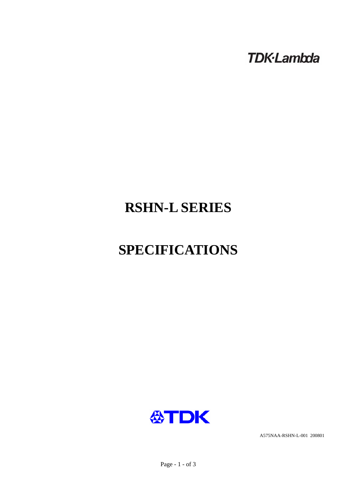**TDK-Lambda** 

# **RSHN-L SERIES**

# **SPECIFICATIONS**



A575NAA-RSHN-L-001 200801

Page - 1 - of 3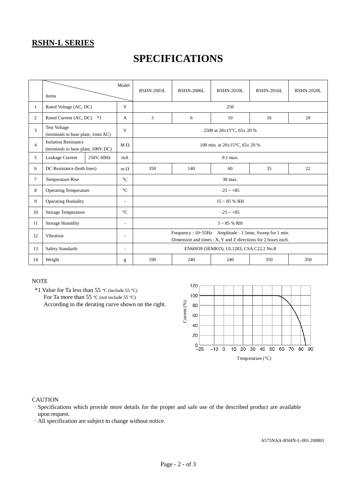### **RSHN-L SERIES**

## **SPECIFICATIONS**

|                | Items                                                             |            | Model                    | <b>RSHN-2003L</b>                                                                                                      | <b>RSHN-2006L</b> | <b>RSHN-2010L</b> | RSHN-2016L | <b>RSHN-2020L</b> |  |  |
|----------------|-------------------------------------------------------------------|------------|--------------------------|------------------------------------------------------------------------------------------------------------------------|-------------------|-------------------|------------|-------------------|--|--|
| $\mathbf{1}$   | Rated Voltage (AC, DC)                                            |            | V                        | 250                                                                                                                    |                   |                   |            |                   |  |  |
| $\overline{2}$ | Rated Current (AC, DC)<br>$*1$                                    |            | A                        | 3                                                                                                                      | 6                 | 10                | 16         | 20                |  |  |
| 3              | <b>Test Voltage</b><br>(terminals to base plate, 1min AC)         |            | V                        | 2500 at $20\pm15^{\circ}$ C, 65 $\pm$ 20 %                                                                             |                   |                   |            |                   |  |  |
| $\overline{4}$ | <b>Isolation Resistance</b><br>(terminals to base plate, 500V DC) |            | $M \Omega$               | 100 min. at $20\pm15^{\circ}$ C, $65\pm20$ %                                                                           |                   |                   |            |                   |  |  |
| 5              | Leakage Current                                                   | 250V, 60Hz | mA                       | $0.1$ max.                                                                                                             |                   |                   |            |                   |  |  |
| 6              | DC Resistance (both lines)                                        |            | $m \Omega$               | 350                                                                                                                    | 140               | 60                | 35         | 22                |  |  |
| $\tau$         | Temperature Rise                                                  |            | $\rm ^{\circ}C$          | 30 max.                                                                                                                |                   |                   |            |                   |  |  |
| 8              | <b>Operating Temperature</b>                                      |            | $\rm ^{\circ}C$          | $-25 \sim +85$                                                                                                         |                   |                   |            |                   |  |  |
| 9              | <b>Operating Humidity</b>                                         |            | ٠                        | $15 \sim 85$ % RH                                                                                                      |                   |                   |            |                   |  |  |
| 10             | Storage Temperature                                               |            | $\rm ^{\circ}C$          | $-25 - +85$                                                                                                            |                   |                   |            |                   |  |  |
| 11             | <b>Storage Humidity</b>                                           |            | $\overline{\phantom{a}}$ | $5 \sim 85$ % RH                                                                                                       |                   |                   |            |                   |  |  |
| 12             | Vibration<br>$\overline{\phantom{a}}$                             |            |                          | Frequency: 10~55Hz Amplitude: 1.5mm, Sweep for 1 min.<br>Dimension and times : X, Y and Z directions for 2 hours each. |                   |                   |            |                   |  |  |
| 13             | <b>Safety Standards</b>                                           |            | $\overline{\phantom{a}}$ | EN60939 (SEMKO), UL1283, CSA C22.2 No.8                                                                                |                   |                   |            |                   |  |  |
| 14             | Weight                                                            |            | g                        | 190                                                                                                                    | 240               | 240               | 350        | 350               |  |  |

#### **NOTE**

 \*1 Value for Ta less than 55 °C (include 55 °C) For Ta more than 55 °C (not include 55 °C) According to the derating curve shown on the right.



#### **CAUTION**

·Specifications which provide more details for the proper and safe use of the described product are available upon request.

·All specification are subject to change without notice.

A575NAA-RSHN-L-001 200801